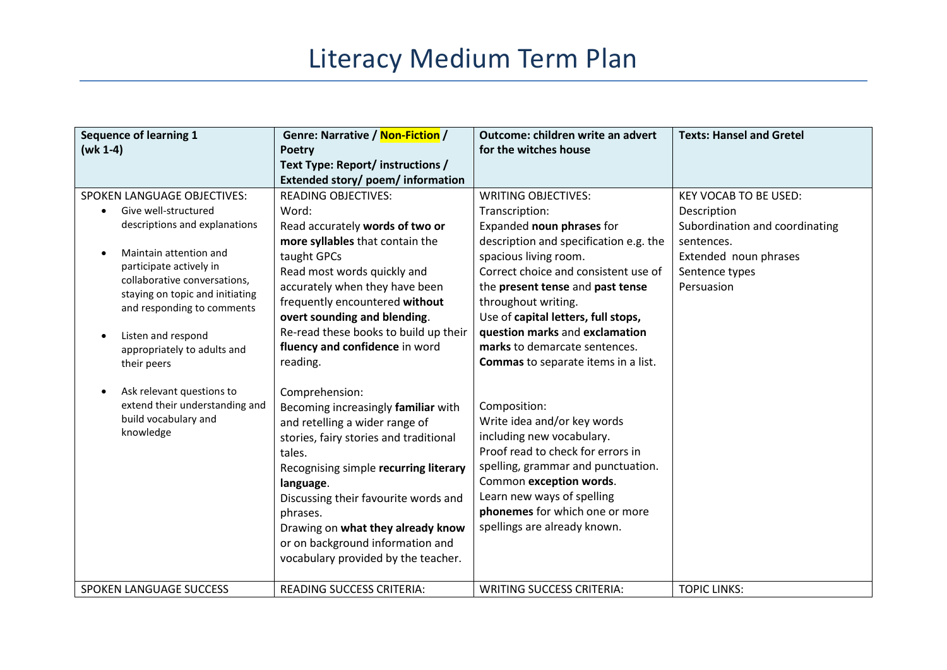## Literacy Medium Term Plan

| <b>Sequence of learning 1</b><br>$(wk 1-4)$                                                                                                                                                                                                                                                                         | Genre: Narrative / Non-Fiction /<br><b>Poetry</b>                                                                                                                                                                                                                                                                                                                                 | Outcome: children write an advert<br>for the witches house                                                                                                                                                                                                                                                                                                | <b>Texts: Hansel and Gretel</b>                                                                                                                      |
|---------------------------------------------------------------------------------------------------------------------------------------------------------------------------------------------------------------------------------------------------------------------------------------------------------------------|-----------------------------------------------------------------------------------------------------------------------------------------------------------------------------------------------------------------------------------------------------------------------------------------------------------------------------------------------------------------------------------|-----------------------------------------------------------------------------------------------------------------------------------------------------------------------------------------------------------------------------------------------------------------------------------------------------------------------------------------------------------|------------------------------------------------------------------------------------------------------------------------------------------------------|
|                                                                                                                                                                                                                                                                                                                     | Text Type: Report/ instructions /                                                                                                                                                                                                                                                                                                                                                 |                                                                                                                                                                                                                                                                                                                                                           |                                                                                                                                                      |
|                                                                                                                                                                                                                                                                                                                     | Extended story/ poem/ information                                                                                                                                                                                                                                                                                                                                                 |                                                                                                                                                                                                                                                                                                                                                           |                                                                                                                                                      |
| <b>SPOKEN LANGUAGE OBJECTIVES:</b><br>Give well-structured<br>descriptions and explanations<br>Maintain attention and<br>$\bullet$<br>participate actively in<br>collaborative conversations,<br>staying on topic and initiating<br>and responding to comments<br>Listen and respond<br>appropriately to adults and | <b>READING OBJECTIVES:</b><br>Word:<br>Read accurately words of two or<br>more syllables that contain the<br>taught GPCs<br>Read most words quickly and<br>accurately when they have been<br>frequently encountered without<br>overt sounding and blending.<br>Re-read these books to build up their<br>fluency and confidence in word                                            | <b>WRITING OBJECTIVES:</b><br>Transcription:<br>Expanded noun phrases for<br>description and specification e.g. the<br>spacious living room.<br>Correct choice and consistent use of<br>the present tense and past tense<br>throughout writing.<br>Use of capital letters, full stops,<br>question marks and exclamation<br>marks to demarcate sentences. | <b>KEY VOCAB TO BE USED:</b><br>Description<br>Subordination and coordinating<br>sentences.<br>Extended noun phrases<br>Sentence types<br>Persuasion |
| their peers<br>Ask relevant questions to<br>$\bullet$<br>extend their understanding and<br>build vocabulary and<br>knowledge                                                                                                                                                                                        | reading.<br>Comprehension:<br>Becoming increasingly familiar with<br>and retelling a wider range of<br>stories, fairy stories and traditional<br>tales.<br>Recognising simple recurring literary<br>language.<br>Discussing their favourite words and<br>phrases.<br>Drawing on what they already know<br>or on background information and<br>vocabulary provided by the teacher. | Commas to separate items in a list.<br>Composition:<br>Write idea and/or key words<br>including new vocabulary.<br>Proof read to check for errors in<br>spelling, grammar and punctuation.<br>Common exception words.<br>Learn new ways of spelling<br>phonemes for which one or more<br>spellings are already known.                                     |                                                                                                                                                      |
| SPOKEN LANGUAGE SUCCESS                                                                                                                                                                                                                                                                                             | <b>READING SUCCESS CRITERIA:</b>                                                                                                                                                                                                                                                                                                                                                  | <b>WRITING SUCCESS CRITERIA:</b>                                                                                                                                                                                                                                                                                                                          | <b>TOPIC LINKS:</b>                                                                                                                                  |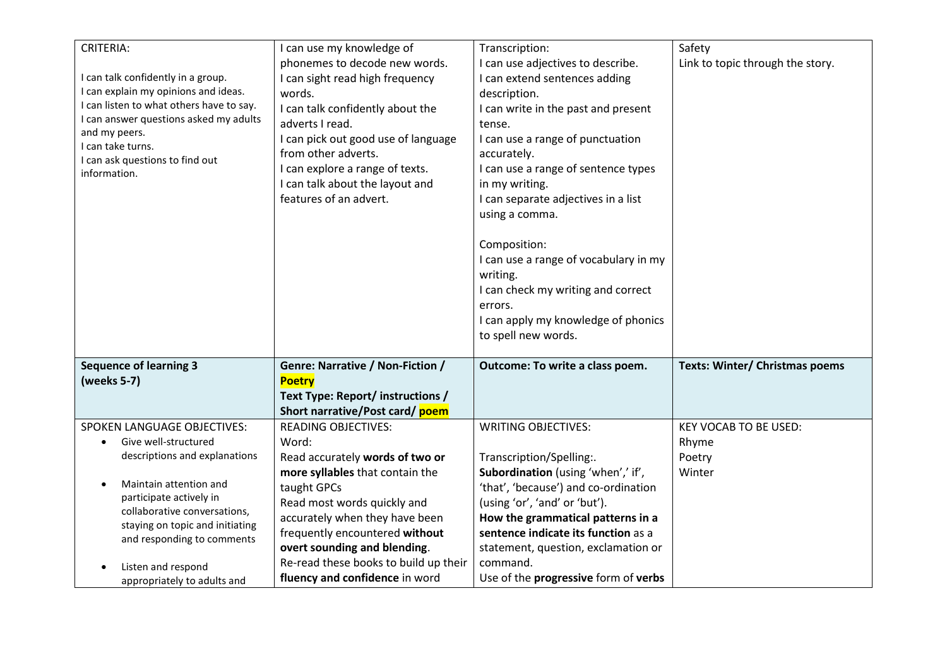| <b>CRITERIA:</b><br>I can talk confidently in a group.<br>I can explain my opinions and ideas.<br>I can listen to what others have to say.<br>I can answer questions asked my adults<br>and my peers.<br>I can take turns.<br>I can ask questions to find out<br>information.        | I can use my knowledge of<br>phonemes to decode new words.<br>I can sight read high frequency<br>words.<br>I can talk confidently about the<br>adverts I read.<br>I can pick out good use of language<br>from other adverts.<br>I can explore a range of texts.                                                                        | Transcription:<br>I can use adjectives to describe.<br>I can extend sentences adding<br>description.<br>I can write in the past and present<br>tense.<br>I can use a range of punctuation<br>accurately.<br>I can use a range of sentence types                                                                                              | Safety<br>Link to topic through the story.                |
|--------------------------------------------------------------------------------------------------------------------------------------------------------------------------------------------------------------------------------------------------------------------------------------|----------------------------------------------------------------------------------------------------------------------------------------------------------------------------------------------------------------------------------------------------------------------------------------------------------------------------------------|----------------------------------------------------------------------------------------------------------------------------------------------------------------------------------------------------------------------------------------------------------------------------------------------------------------------------------------------|-----------------------------------------------------------|
|                                                                                                                                                                                                                                                                                      | I can talk about the layout and<br>features of an advert.                                                                                                                                                                                                                                                                              | in my writing.<br>I can separate adjectives in a list<br>using a comma.<br>Composition:<br>I can use a range of vocabulary in my<br>writing.<br>I can check my writing and correct<br>errors.<br>I can apply my knowledge of phonics<br>to spell new words.                                                                                  |                                                           |
| <b>Sequence of learning 3</b><br>(weeks 5-7)                                                                                                                                                                                                                                         | Genre: Narrative / Non-Fiction /<br><b>Poetry</b><br>Text Type: Report/ instructions /<br>Short narrative/Post card/ poem                                                                                                                                                                                                              | Outcome: To write a class poem.                                                                                                                                                                                                                                                                                                              | <b>Texts: Winter/ Christmas poems</b>                     |
| <b>SPOKEN LANGUAGE OBJECTIVES:</b><br>Give well-structured<br>$\bullet$<br>descriptions and explanations<br>Maintain attention and<br>participate actively in<br>collaborative conversations,<br>staying on topic and initiating<br>and responding to comments<br>Listen and respond | <b>READING OBJECTIVES:</b><br>Word:<br>Read accurately words of two or<br>more syllables that contain the<br>taught GPCs<br>Read most words quickly and<br>accurately when they have been<br>frequently encountered without<br>overt sounding and blending.<br>Re-read these books to build up their<br>fluency and confidence in word | <b>WRITING OBJECTIVES:</b><br>Transcription/Spelling:.<br>Subordination (using 'when',' if',<br>'that', 'because') and co-ordination<br>(using 'or', 'and' or 'but').<br>How the grammatical patterns in a<br>sentence indicate its function as a<br>statement, question, exclamation or<br>command.<br>Use of the progressive form of verbs | <b>KEY VOCAB TO BE USED:</b><br>Rhyme<br>Poetry<br>Winter |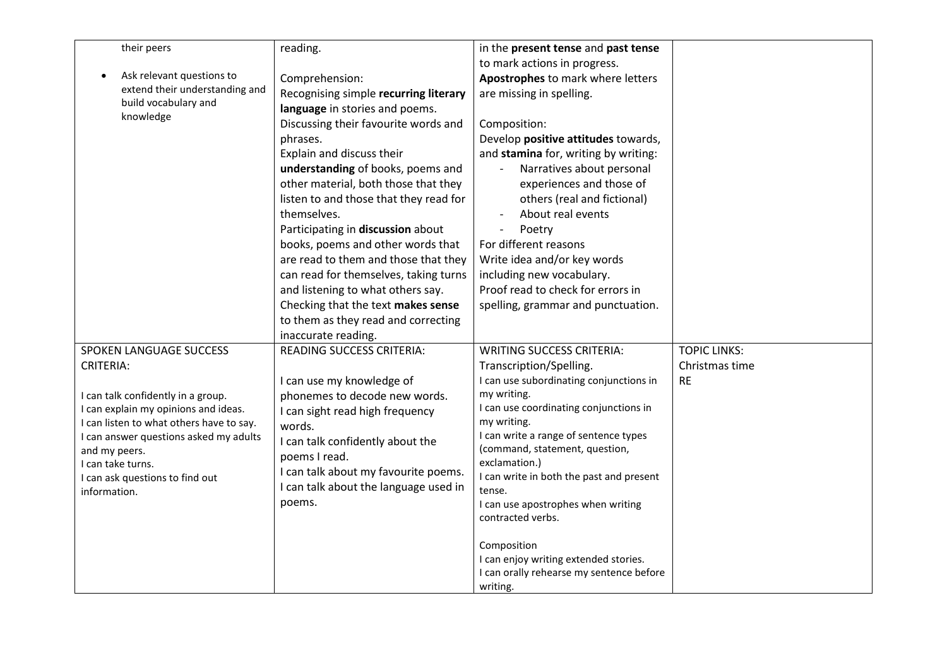| their peers                                     | reading.                               | in the present tense and past tense             |                     |
|-------------------------------------------------|----------------------------------------|-------------------------------------------------|---------------------|
|                                                 |                                        | to mark actions in progress.                    |                     |
| Ask relevant questions to                       | Comprehension:                         | Apostrophes to mark where letters               |                     |
| extend their understanding and                  | Recognising simple recurring literary  | are missing in spelling.                        |                     |
| build vocabulary and                            | language in stories and poems.         |                                                 |                     |
| knowledge                                       | Discussing their favourite words and   | Composition:                                    |                     |
|                                                 | phrases.                               | Develop positive attitudes towards,             |                     |
|                                                 | Explain and discuss their              | and stamina for, writing by writing:            |                     |
|                                                 |                                        |                                                 |                     |
|                                                 | understanding of books, poems and      | Narratives about personal                       |                     |
|                                                 | other material, both those that they   | experiences and those of                        |                     |
|                                                 | listen to and those that they read for | others (real and fictional)                     |                     |
|                                                 | themselves.                            | About real events                               |                     |
|                                                 | Participating in discussion about      | Poetry<br>$\overline{\phantom{a}}$              |                     |
|                                                 | books, poems and other words that      | For different reasons                           |                     |
|                                                 | are read to them and those that they   | Write idea and/or key words                     |                     |
|                                                 | can read for themselves, taking turns  | including new vocabulary.                       |                     |
|                                                 | and listening to what others say.      | Proof read to check for errors in               |                     |
|                                                 | Checking that the text makes sense     | spelling, grammar and punctuation.              |                     |
|                                                 | to them as they read and correcting    |                                                 |                     |
|                                                 | inaccurate reading.                    |                                                 |                     |
| SPOKEN LANGUAGE SUCCESS                         | READING SUCCESS CRITERIA:              | <b>WRITING SUCCESS CRITERIA:</b>                | <b>TOPIC LINKS:</b> |
| <b>CRITERIA:</b>                                |                                        | Transcription/Spelling.                         | Christmas time      |
|                                                 | I can use my knowledge of              | I can use subordinating conjunctions in         | <b>RE</b>           |
| I can talk confidently in a group.              | phonemes to decode new words.          | my writing.                                     |                     |
| I can explain my opinions and ideas.            | I can sight read high frequency        | I can use coordinating conjunctions in          |                     |
| I can listen to what others have to say.        | words.                                 | my writing.                                     |                     |
| I can answer questions asked my adults          | I can talk confidently about the       | I can write a range of sentence types           |                     |
| and my peers.                                   | poems I read.                          | (command, statement, question,<br>exclamation.) |                     |
| I can take turns.                               | I can talk about my favourite poems.   | I can write in both the past and present        |                     |
| I can ask questions to find out<br>information. | I can talk about the language used in  | tense.                                          |                     |
|                                                 | poems.                                 | I can use apostrophes when writing              |                     |
|                                                 |                                        | contracted verbs.                               |                     |
|                                                 |                                        |                                                 |                     |
|                                                 |                                        | Composition                                     |                     |
|                                                 |                                        | I can enjoy writing extended stories.           |                     |
|                                                 |                                        | I can orally rehearse my sentence before        |                     |
|                                                 |                                        | writing.                                        |                     |